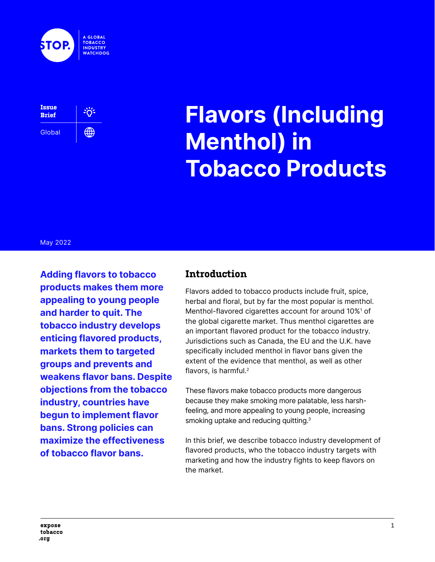



# **Flavors (Including Menthol) in Tobacco Products**

#### May 2022

**Adding flavors to tobacco products makes them more appealing to young people and harder to quit. The tobacco industry develops enticing flavored products, markets them to targeted groups and prevents and weakens flavor bans. Despite objections from the tobacco industry, countries have begun to implement flavor bans. Strong policies can maximize the effectiveness of tobacco flavor bans.**

#### **Introduction**

Flavors added to tobacco products include fruit, spice, herbal and floral, but by far the most popular is menthol. Menthol-flavored cigarettes account for around 10%1 of the global cigarette market. Thus menthol cigarettes are an important flavored product for the tobacco industry. Jurisdictions such as Canada, the EU and the U.K. have specifically included menthol in flavor bans given the extent of the evidence that menthol, as well as other flavors, is harmful.2

These flavors make tobacco products more dangerous because they make smoking more palatable, less harshfeeling, and more appealing to young people, increasing smoking uptake and reducing quitting.<sup>3</sup>

In this brief, we describe tobacco industry development of flavored products, who the tobacco industry targets with marketing and how the industry fights to keep flavors on the market.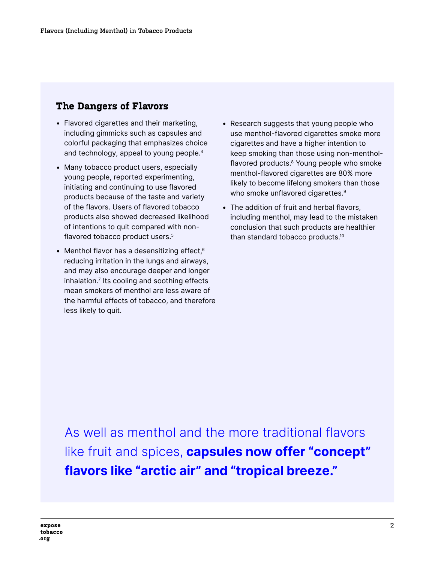#### **The Dangers of Flavors**

- Flavored cigarettes and their marketing, including gimmicks such as capsules and colorful packaging that emphasizes choice and technology, appeal to young people.4
- Many tobacco product users, especially young people, reported experimenting, initiating and continuing to use flavored products because of the taste and variety of the flavors. Users of flavored tobacco products also showed decreased likelihood of intentions to quit compared with nonflavored tobacco product users.<sup>5</sup>
- Menthol flavor has a desensitizing effect, $6$ reducing irritation in the lungs and airways, and may also encourage deeper and longer inhalation.<sup>7</sup> Its cooling and soothing effects mean smokers of menthol are less aware of the harmful effects of tobacco, and therefore less likely to quit.
- Research suggests that young people who use menthol-flavored cigarettes smoke more cigarettes and have a higher intention to keep smoking than those using non-mentholflavored products.<sup>8</sup> Young people who smoke menthol-flavored cigarettes are 80% more likely to become lifelong smokers than those who smoke unflavored cigarettes.<sup>9</sup>
- The addition of fruit and herbal flavors, including menthol, may lead to the mistaken conclusion that such products are healthier than standard tobacco products.10

As well as menthol and the more traditional flavors like fruit and spices, **capsules now offer "concept" flavors like "arctic air" and "tropical breeze."**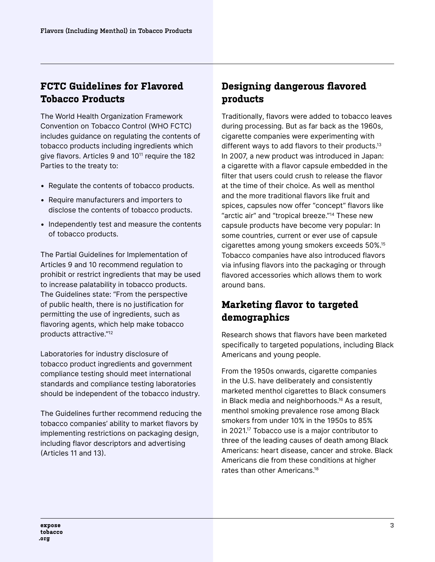## **FCTC Guidelines for Flavored Tobacco Products**

The World Health Organization Framework Convention on Tobacco Control (WHO FCTC) includes guidance on regulating the contents of tobacco products including ingredients which give flavors. Articles 9 and 10<sup>11</sup> require the 182 Parties to the treaty to:

- Regulate the contents of tobacco products.
- Require manufacturers and importers to disclose the contents of tobacco products.
- Independently test and measure the contents of tobacco products.

The Partial Guidelines for Implementation of Articles 9 and 10 recommend regulation to prohibit or restrict ingredients that may be used to increase palatability in tobacco products. The Guidelines state: "From the perspective of public health, there is no justification for permitting the use of ingredients, such as flavoring agents, which help make tobacco products attractive."12

Laboratories for industry disclosure of tobacco product ingredients and government compliance testing should meet international standards and compliance testing laboratories should be independent of the tobacco industry.

The Guidelines further recommend reducing the tobacco companies' ability to market flavors by implementing restrictions on packaging design, including flavor descriptors and advertising (Articles 11 and 13).

# **Designing dangerous flavored products**

Traditionally, flavors were added to tobacco leaves during processing. But as far back as the 1960s, cigarette companies were experimenting with different ways to add flavors to their products.<sup>13</sup> In 2007, a new product was introduced in Japan: a cigarette with a flavor capsule embedded in the filter that users could crush to release the flavor at the time of their choice. As well as menthol and the more traditional flavors like fruit and spices, capsules now offer "concept" flavors like "arctic air" and "tropical breeze."14 These new capsule products have become very popular: In some countries, current or ever use of capsule cigarettes among young smokers exceeds 50%.15 Tobacco companies have also introduced flavors via infusing flavors into the packaging or through flavored accessories which allows them to work around bans.

## **Marketing flavor to targeted demographics**

Research shows that flavors have been marketed specifically to targeted populations, including Black Americans and young people.

From the 1950s onwards, cigarette companies in the U.S. have deliberately and consistently marketed menthol cigarettes to Black consumers in Black media and neighborhoods.16 As a result, menthol smoking prevalence rose among Black smokers from under 10% in the 1950s to 85% in 2021.17 Tobacco use is a major contributor to three of the leading causes of death among Black Americans: heart disease, cancer and stroke. Black Americans die from these conditions at higher rates than other Americans.18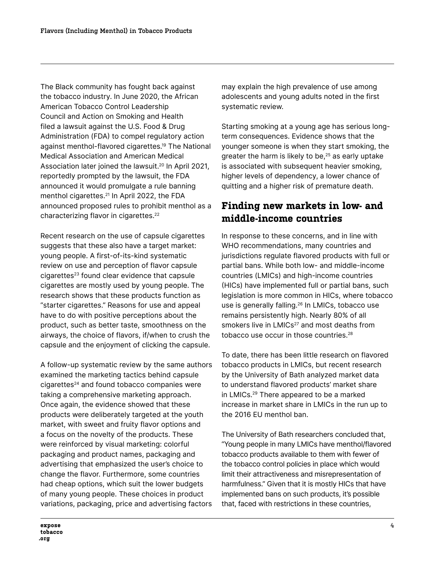The Black community has fought back against the tobacco industry. In June 2020, the African American Tobacco Control Leadership Council and Action on Smoking and Health filed a lawsuit against the U.S. Food & Drug Administration (FDA) to compel regulatory action against menthol-flavored cigarettes.19 The National Medical Association and American Medical Association later joined the lawsuit.<sup>20</sup> In April 2021, reportedly prompted by the lawsuit, the FDA announced it would promulgate a rule banning menthol cigarettes.<sup>21</sup> In April 2022, the FDA announced proposed rules to prohibit menthol as a characterizing flavor in cigarettes.<sup>22</sup>

Recent research on the use of capsule cigarettes suggests that these also have a target market: young people. A first-of-its-kind systematic review on use and perception of flavor capsule cigarettes<sup>23</sup> found clear evidence that capsule cigarettes are mostly used by young people. The research shows that these products function as "starter cigarettes." Reasons for use and appeal have to do with positive perceptions about the product, such as better taste, smoothness on the airways, the choice of flavors, if/when to crush the capsule and the enjoyment of clicking the capsule.

A follow-up systematic review by the same authors examined the marketing tactics behind capsule cigarettes<sup>24</sup> and found tobacco companies were taking a comprehensive marketing approach. Once again, the evidence showed that these products were deliberately targeted at the youth market, with sweet and fruity flavor options and a focus on the novelty of the products. These were reinforced by visual marketing: colorful packaging and product names, packaging and advertising that emphasized the user's choice to change the flavor. Furthermore, some countries had cheap options, which suit the lower budgets of many young people. These choices in product variations, packaging, price and advertising factors may explain the high prevalence of use among adolescents and young adults noted in the first systematic review.

Starting smoking at a young age has serious longterm consequences. Evidence shows that the younger someone is when they start smoking, the greater the harm is likely to be, $25$  as early uptake is associated with subsequent heavier smoking, higher levels of dependency, a lower chance of quitting and a higher risk of premature death.

## **Finding new markets in low- and middle-income countries**

In response to these concerns, and in line with WHO recommendations, many countries and jurisdictions regulate flavored products with full or partial bans. While both low- and middle-income countries (LMICs) and high-income countries (HICs) have implemented full or partial bans, such legislation is more common in HICs, where tobacco use is generally falling.<sup>26</sup> In LMICs, tobacco use remains persistently high. Nearly 80% of all smokers live in LMICs<sup>27</sup> and most deaths from tobacco use occur in those countries.<sup>28</sup>

To date, there has been little research on flavored tobacco products in LMICs, but recent research by the University of Bath analyzed market data to understand flavored products' market share in LMICs.29 There appeared to be a marked increase in market share in LMICs in the run up to the 2016 EU menthol ban.

The University of Bath researchers concluded that, "Young people in many LMICs have menthol/flavored tobacco products available to them with fewer of the tobacco control policies in place which would limit their attractiveness and misrepresentation of harmfulness." Given that it is mostly HICs that have implemented bans on such products, it's possible that, faced with restrictions in these countries,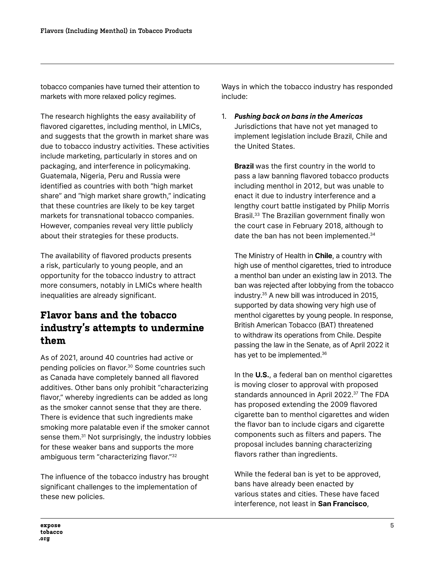tobacco companies have turned their attention to markets with more relaxed policy regimes.

The research highlights the easy availability of flavored cigarettes, including menthol, in LMICs, and suggests that the growth in market share was due to tobacco industry activities. These activities include marketing, particularly in stores and on packaging, and interference in policymaking. Guatemala, Nigeria, Peru and Russia were identified as countries with both "high market share" and "high market share growth," indicating that these countries are likely to be key target markets for transnational tobacco companies. However, companies reveal very little publicly about their strategies for these products.

The availability of flavored products presents a risk, particularly to young people, and an opportunity for the tobacco industry to attract more consumers, notably in LMICs where health inequalities are already significant.

## **Flavor bans and the tobacco industry's attempts to undermine them**

As of 2021, around 40 countries had active or pending policies on flavor.<sup>30</sup> Some countries such as Canada have completely banned all flavored additives. Other bans only prohibit "characterizing flavor," whereby ingredients can be added as long as the smoker cannot sense that they are there. There is evidence that such ingredients make smoking more palatable even if the smoker cannot sense them.<sup>31</sup> Not surprisingly, the industry lobbies for these weaker bans and supports the more ambiguous term "characterizing flavor."32

The influence of the tobacco industry has brought significant challenges to the implementation of these new policies.

Ways in which the tobacco industry has responded include:

1. *Pushing back on bans in the Americas*  Jurisdictions that have not yet managed to implement legislation include Brazil, Chile and the United States.

**Brazil** was the first country in the world to pass a law banning flavored tobacco products including menthol in 2012, but was unable to enact it due to industry interference and a lengthy court battle instigated by Philip Morris Brasil.33 The Brazilian government finally won the court case in February 2018, although to date the ban has not been implemented.<sup>34</sup>

The Ministry of Health in **Chile**, a country with high use of menthol cigarettes, tried to introduce a menthol ban under an existing law in 2013. The ban was rejected after lobbying from the tobacco industry.35 A new bill was introduced in 2015, supported by data showing very high use of menthol cigarettes by young people. In response, British American Tobacco (BAT) threatened to withdraw its operations from Chile. Despite passing the law in the Senate, as of April 2022 it has yet to be implemented.36

In the **U.S.**, a federal ban on menthol cigarettes is moving closer to approval with proposed standards announced in April 2022.<sup>37</sup> The FDA has proposed extending the 2009 flavored cigarette ban to menthol cigarettes and widen the flavor ban to include cigars and cigarette components such as filters and papers. The proposal includes banning characterizing flavors rather than ingredients.

While the federal ban is yet to be approved, bans have already been enacted by various states and cities. These have faced interference, not least in **San Francisco**,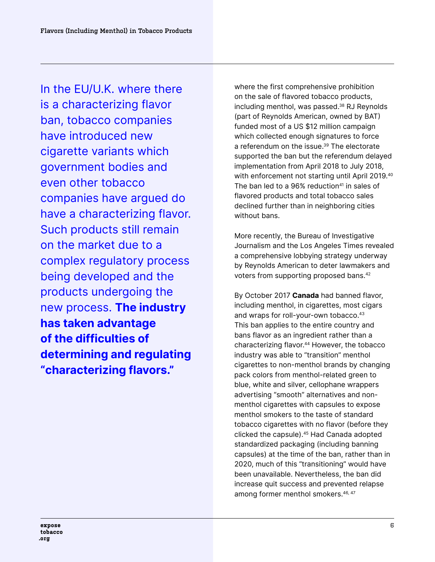In the EU/U.K. where there is a characterizing flavor ban, tobacco companies have introduced new cigarette variants which government bodies and even other tobacco companies have argued do have a characterizing flavor. Such products still remain on the market due to a complex regulatory process being developed and the products undergoing the new process. **The industry has taken advantage of the difficulties of determining and regulating "characterizing flavors."**

where the first comprehensive prohibition on the sale of flavored tobacco products, including menthol, was passed.<sup>38</sup> RJ Reynolds (part of Reynolds American, owned by BAT) funded most of a US \$12 million campaign which collected enough signatures to force a referendum on the issue.<sup>39</sup> The electorate supported the ban but the referendum delayed implementation from April 2018 to July 2018, with enforcement not starting until April 2019.<sup>40</sup> The ban led to a  $96%$  reduction<sup>41</sup> in sales of flavored products and total tobacco sales declined further than in neighboring cities without bans.

More recently, the Bureau of Investigative Journalism and the Los Angeles Times revealed a comprehensive lobbying strategy underway by Reynolds American to deter lawmakers and voters from supporting proposed bans.<sup>42</sup>

By October 2017 **Canada** had banned flavor, including menthol, in cigarettes, most cigars and wraps for roll-your-own tobacco.<sup>43</sup> This ban applies to the entire country and bans flavor as an ingredient rather than a characterizing flavor.<sup>44</sup> However, the tobacco industry was able to "transition" menthol cigarettes to non-menthol brands by changing pack colors from menthol-related green to blue, white and silver, cellophane wrappers advertising "smooth" alternatives and nonmenthol cigarettes with capsules to expose menthol smokers to the taste of standard tobacco cigarettes with no flavor (before they clicked the capsule).45 Had Canada adopted standardized packaging (including banning capsules) at the time of the ban, rather than in 2020, much of this "transitioning" would have been unavailable. Nevertheless, the ban did increase quit success and prevented relapse among former menthol smokers.<sup>46, 47</sup>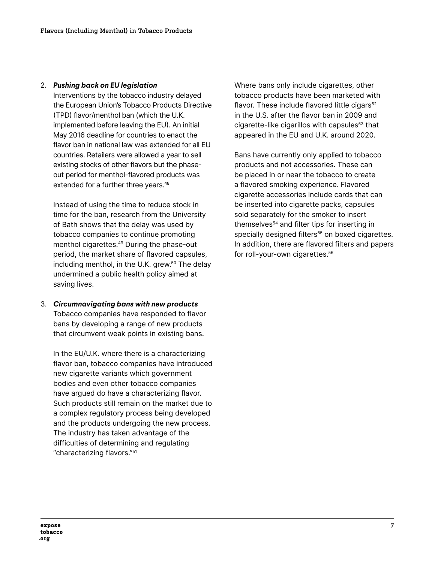#### 2. *Pushing back on EU legislation*

Interventions by the tobacco industry delayed the European Union's Tobacco Products Directive (TPD) flavor/menthol ban (which the U.K. implemented before leaving the EU). An initial May 2016 deadline for countries to enact the flavor ban in national law was extended for all EU countries. Retailers were allowed a year to sell existing stocks of other flavors but the phaseout period for menthol-flavored products was extended for a further three years.<sup>48</sup>

Instead of using the time to reduce stock in time for the ban, research from the University of Bath shows that the delay was used by tobacco companies to continue promoting menthol cigarettes.49 During the phase-out period, the market share of flavored capsules, including menthol, in the U.K. grew. $50$  The delay undermined a public health policy aimed at saving lives.

3. *Circumnavigating bans with new products* Tobacco companies have responded to flavor bans by developing a range of new products that circumvent weak points in existing bans.

In the EU/U.K. where there is a characterizing flavor ban, tobacco companies have introduced new cigarette variants which government bodies and even other tobacco companies have argued do have a characterizing flavor. Such products still remain on the market due to a complex regulatory process being developed and the products undergoing the new process. The industry has taken advantage of the difficulties of determining and regulating "characterizing flavors."51

Where bans only include cigarettes, other tobacco products have been marketed with flavor. These include flavored little cigars<sup>52</sup> in the U.S. after the flavor ban in 2009 and cigarette-like cigarillos with capsules<sup>53</sup> that appeared in the EU and U.K. around 2020.

Bans have currently only applied to tobacco products and not accessories. These can be placed in or near the tobacco to create a flavored smoking experience. Flavored cigarette accessories include cards that can be inserted into cigarette packs, capsules sold separately for the smoker to insert themselves<sup>54</sup> and filter tips for inserting in specially designed filters<sup>55</sup> on boxed cigarettes. In addition, there are flavored filters and papers for roll-your-own cigarettes.<sup>56</sup>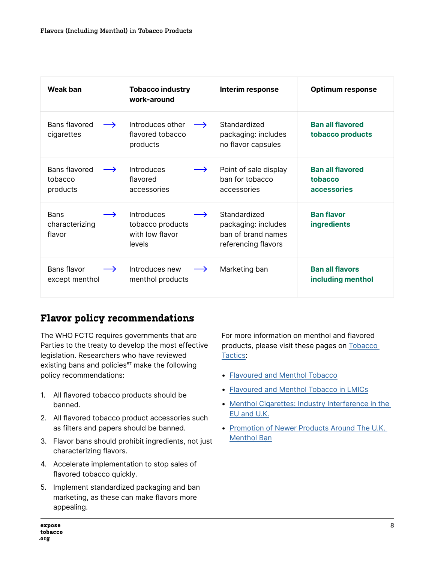| <b>Weak ban</b>                                          | <b>Tobacco industry</b><br>work-around                                              | Interim response                                                                 | <b>Optimum response</b>                                  |
|----------------------------------------------------------|-------------------------------------------------------------------------------------|----------------------------------------------------------------------------------|----------------------------------------------------------|
| Bans flavored<br>$\rightarrow$<br>cigarettes             | Introduces other<br>$\rightarrow$<br>flavored tobacco<br>products                   | Standardized<br>packaging: includes<br>no flavor capsules                        | <b>Ban all flavored</b><br>tobacco products              |
| Bans flavored<br>$\rightarrow$<br>tobacco<br>products    | Introduces<br>$\rightarrow$<br>flavored<br>accessories                              | Point of sale display<br>ban for tobacco<br>accessories                          | <b>Ban all flavored</b><br>tobacco<br><b>accessories</b> |
| <b>Bans</b><br>$\rightarrow$<br>characterizing<br>flavor | <b>Introduces</b><br>$\rightarrow$<br>tobacco products<br>with low flavor<br>levels | Standardized<br>packaging: includes<br>ban of brand names<br>referencing flavors | <b>Ban flavor</b><br><b>ingredients</b>                  |
| Bans flavor<br>$\rightarrow$<br>except menthol           | Introduces new<br>$\rightarrow$<br>menthol products                                 | Marketing ban                                                                    | <b>Ban all flavors</b><br>including menthol              |

#### **Flavor policy recommendations**

The WHO FCTC requires governments that are Parties to the treaty to develop the most effective legislation. Researchers who have reviewed existing bans and policies<sup>57</sup> make the following policy recommendations:

- 1. All flavored tobacco products should be banned.
- 2. All flavored tobacco product accessories such as filters and papers should be banned.
- 3. Flavor bans should prohibit ingredients, not just characterizing flavors.
- 4. Accelerate implementation to stop sales of flavored tobacco quickly.
- 5. Implement standardized packaging and ban marketing, as these can make flavors more appealing.

For more information on menthol and flavored products, please visit these pages on [Tobacco](https://tobaccotactics.org/)  [Tactics:](https://tobaccotactics.org/)

- [Flavoured and Menthol Tobacco](https://tobaccotactics.org/wiki/flavoured-and-menthol-tobacco/)
- [Flavoured and Menthol Tobacco in LMICs](https://tobaccotactics.org/wiki/flavoured-and-menthol-tobacco-in-lmics/)
- [Menthol Cigarettes: Industry Interference in the](https://tobaccotactics.org/wiki/menthol-interference-eu-uk/)  [EU and U.K.](https://tobaccotactics.org/wiki/menthol-interference-eu-uk/)
- [Promotion of Newer Products Around The U.K.](https://tobaccotactics.org/wiki/promotion-newer-products-uk-menthol-ban/)  [Menthol Ban](https://tobaccotactics.org/wiki/promotion-newer-products-uk-menthol-ban/)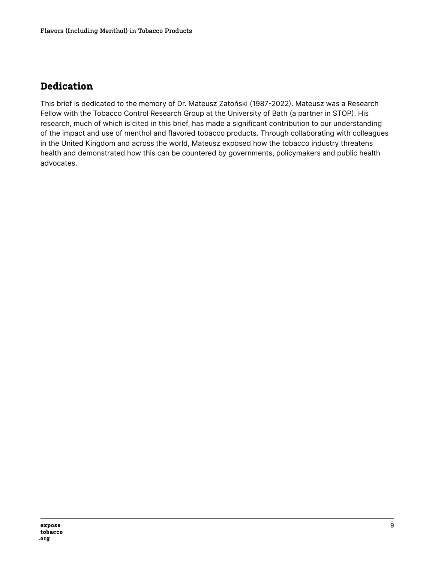# **Dedication**

This brief is dedicated to the memory of Dr. Mateusz Zatoński (1987-2022). Mateusz was a Research Fellow with the Tobacco Control Research Group at the University of Bath (a partner in STOP). His research, much of which is cited in this brief, has made a significant contribution to our understanding of the impact and use of menthol and flavored tobacco products. Through collaborating with colleagues in the United Kingdom and across the world, Mateusz exposed how the tobacco industry threatens health and demonstrated how this can be countered by governments, policymakers and public health advocates.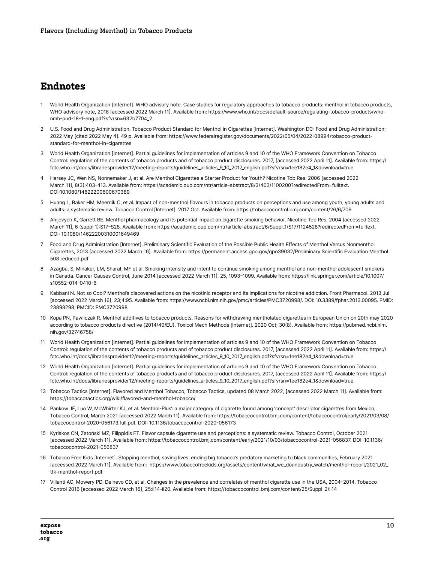#### **Endnotes**

- 1 World Health Organization [Internet]. WHO advisory note. Case studies for regulatory approaches to tobacco products: menthol in tobacco products, WHO advisory note, 2018 [accessed 2022 March 11]. Available from: https://www.who.int/docs/default-source/regulating-tobacco-products/whonmh-pnd-18-1-eng.pdf?sfvrsn=632b7704\_2
- 2 U.S. Food and Drug Administration. Tobacco Product Standard for Menthol in Cigarettes [Internet]. Washington DC: Food and Drug Administration; 2022 May [cited 2022 May 4]. 49 p. Available from: https://www.federalregister.gov/documents/2022/05/04/2022-08994/tobacco-productstandard-for-menthol-in-cigarettes
- 3 World Health Organization [Internet]. Partial guidelines for implementation of articles 9 and 10 of the WHO Framework Convention on Tobacco Control: regulation of the contents of tobacco products and of tobacco product disclosures. 2017, [accessed 2022 April 11]. Available from: https:// fctc.who.int/docs/librariesprovider12/meeting-reports/guidelines\_articles\_9\_10\_2017\_english.pdf?sfvrsn=1ee182e4\_1&download=true
- 4 Hersey JC, Wen NS, Nonnemaker J, et al. Are Menthol Cigarettes a Starter Product for Youth? Nicotine Tob Res. 2006 [accessed 2022 March 11], 8(3):403-413. Available from: https://academic.oup.com/ntr/article-abstract/8/3/403/1100200?redirectedFrom=fulltext. DOI:10.1080/14622200600670389
- 5 Huang L, Baker HM, Meernik C, et al. Impact of non-menthol flavours in tobacco products on perceptions and use among youth, young adults and adults: a systematic review. Tobacco Control [Internet]. 2017 Oct. Available from: https://tobaccocontrol.bmj.com/content/26/6/709
- 6 Ahijevych K, Garrett BE. Menthol pharmacology and its potential impact on cigarette smoking behavior. Nicotine Tob Res. 2004 [accessed 2022 March 11], 6 (suppl 1):S17–S28. Available from: https://academic.oup.com/ntr/article-abstract/6/Suppl\_1/S17/1124528?redirectedFrom=fulltext. DOI: 10.1080/14622200310001649469
- 7 Food and Drug Administration [Internet]. Preliminary Scientific Evaluation of the Possible Public Health Effects of Menthol Versus Nonmenthol Cigarettes, 2013 [accessed 2022 March 16]. Available from: https://permanent.access.gpo.gov/gpo39032/Preliminary Scientific Evaluation Menthol 508 reduced.pdf
- 8 Azagba, S, Minaker, LM, Sharaf, MF et al. Smoking intensity and intent to continue smoking among menthol and non-menthol adolescent smokers in Canada. Cancer Causes Control, June 2014 [accessed 2022 March 11], 25, 1093–1099. Available from: https://link.springer.com/article/10.1007/ s10552-014-0410-6
- 9 Kabbani N. Not so Cool? Menthol's discovered actions on the nicotinic receptor and its implications for nicotine addiction. Front Pharmacol. 2013 Jul [accessed 2022 March 16], 23;4:95. Available from: https://www.ncbi.nlm.nih.gov/pmc/articles/PMC3720998/. DOI: 10.3389/fphar.2013.00095. PMID: 23898298; PMCID: PMC3720998.
- 10 Kopa PN, Pawliczak R. Menthol additives to tobacco products. Reasons for withdrawing mentholated cigarettes in European Union on 20th may 2020 according to tobacco products directive (2014/40/EU). Toxicol Mech Methods [Internet]. 2020 Oct; 30(8). Available from: https://pubmed.ncbi.nlm. nih.gov/32746758/
- 11 World Health Organization [Internet]. Partial guidelines for implementation of articles 9 and 10 of the WHO Framework Convention on Tobacco Control: regulation of the contents of tobacco products and of tobacco product disclosures. 2017, [accessed 2022 April 11]. Available from: https:// fctc.who.int/docs/librariesprovider12/meeting-reports/guidelines\_articles\_9\_10\_2017\_english.pdf?sfvrsn=1ee182e4\_1&download=true
- 12 World Health Organization [Internet]. Partial guidelines for implementation of articles 9 and 10 of the WHO Framework Convention on Tobacco Control: regulation of the contents of tobacco products and of tobacco product disclosures. 2017, [accessed 2022 April 11]. Available from: https:// fctc.who.int/docs/librariesprovider12/meeting-reports/guidelines\_articles\_9\_10\_2017\_english.pdf?sfvrsn=1ee182e4\_1&download=true
- 13 Tobacco Tactics [Internet]. Flavored and Menthol Tobacco, Tobacco Tactics, updated 08 March 2022, [accessed 2022 March 11]. Available from: https://tobaccotactics.org/wiki/flavored-and-menthol-tobacco/
- 14 Pankow JF, Luo W, McWhirter KJ, et al. Menthol-Plus': a major category of cigarette found among 'concept' descriptor cigarettes from Mexico, Tobacco Control, March 2021 [accessed 2022 March 11]. Available from: https://tobaccocontrol.bmj.com/content/tobaccocontrol/early/2021/03/08/ tobaccocontrol-2020-056173.full.pdf. DOI: 10.1136/tobaccocontrol-2020-056173
- 15 Kyriakos CN, Zatoński MZ, Filippidis FT. Flavor capsule cigarette use and perceptions: a systematic review. Tobacco Control, October 2021 [accessed 2022 March 11]. Available from: https://tobaccocontrol.bmj.com/content/early/2021/10/03/tobaccocontrol-2021-056837. DOI: 10.1136/ tobaccocontrol-2021-056837
- 16 Tobacco Free Kids [Internet]. Stopping menthol, saving lives: ending big tobacco's predatory marketing to black communities, February 2021 [accessed 2022 March 11]. Available from: https://www.tobaccofreekids.org/assets/content/what\_we\_do/industry\_watch/menthol-report/2021\_02\_ tfk-menthol-report.pdf
- 17 Villanti AC, Mowery PD, Delnevo CD, et al. Changes in the prevalence and correlates of menthol cigarette use in the USA, 2004–2014, Tobacco Control 2016 [accessed 2022 March 16], 25:ii14-ii20. Available from: https://tobaccocontrol.bmj.com/content/25/Suppl\_2/ii14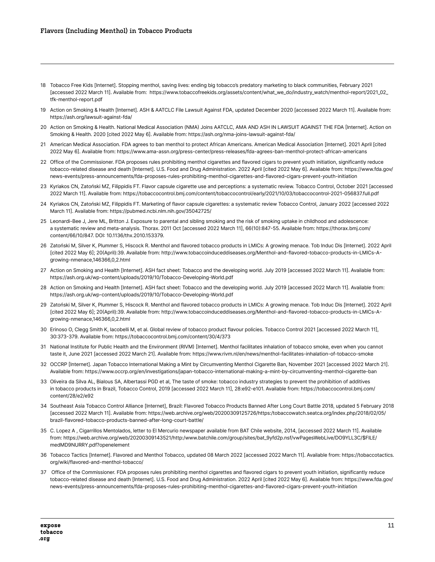- 18 Tobacco Free Kids [Internet]. Stopping menthol, saving lives: ending big tobacco's predatory marketing to black communities, February 2021 [accessed 2022 March 11]. Available from: https://www.tobaccofreekids.org/assets/content/what\_we\_do/industry\_watch/menthol-report/2021\_02\_ tfk-menthol-report.pdf
- 19 Action on Smoking & Health [Internet]. ASH & AATCLC File Lawsuit Against FDA, updated December 2020 [accessed 2022 March 11]. Available from: https://ash.org/lawsuit-against-fda/
- 20 Action on Smoking & Health. National Medical Association (NMA) Joins AATCLC, AMA AND ASH IN LAWSUIT AGAINST THE FDA [Internet]. Action on Smoking & Health. 2020 [cited 2022 May 6]. Available from: https://ash.org/nma-joins-lawsuit-against-fda/
- 21 American Medical Association. FDA agrees to ban menthol to protect African Americans. American Medical Association [Internet]. 2021 April [cited 2022 May 6]. Available from: https://www.ama-assn.org/press-center/press-releases/fda-agrees-ban-menthol-protect-african-americans
- 22 Office of the Commissioner. FDA proposes rules prohibiting menthol cigarettes and flavored cigars to prevent youth initiation, significantly reduce tobacco-related disease and death [Internet]. U.S. Food and Drug Administration. 2022 April [cited 2022 May 6]. Available from: https://www.fda.gov/ news-events/press-announcements/fda-proposes-rules-prohibiting-menthol-cigarettes-and-flavored-cigars-prevent-youth-initiation
- 23 Kyriakos CN, Zatoński MZ, Filippidis FT. Flavor capsule cigarette use and perceptions: a systematic review. Tobacco Control, October 2021 [accessed 2022 March 11]. Available from: https://tobaccocontrol.bmj.com/content/tobaccocontrol/early/2021/10/03/tobaccocontrol-2021-056837.full.pdf
- 24 Kyriakos CN, Zatoński MZ, Filippidis FT. Marketing of flavor capsule cigarettes: a systematic review Tobacco Control, January 2022 [accessed 2022 March 11]. Available from: https://pubmed.ncbi.nlm.nih.gov/35042725/
- 25 Leonardi-Bee J, Jere ML, Britton J. Exposure to parental and sibling smoking and the risk of smoking uptake in childhood and adolescence: a systematic review and meta-analysis. Thorax. 2011 Oct [accessed 2022 March 11], 66(10):847-55. Available from: https://thorax.bmj.com/ content/66/10/847. DOI: 10.1136/thx.2010.153379.
- 26 Zatoński M, Silver K, Plummer S, Hiscock R. Menthol and flavored tobacco products in LMICs: A growing menace. Tob Induc Dis [Internet]. 2022 April [cited 2022 May 6]; 20(April):39. Available from: http://www.tobaccoinduceddiseases.org/Menthol-and-flavored-tobacco-products-in-LMICs-Agrowing-nmenace,146366,0,2.html
- 27 Action on Smoking and Health [Internet]. ASH fact sheet: Tobacco and the developing world. July 2019 [accessed 2022 March 11]. Available from: https://ash.org.uk/wp-content/uploads/2019/10/Tobacco-Developing-World.pdf
- 28 Action on Smoking and Health [Internet]. ASH fact sheet: Tobacco and the developing world. July 2019 [accessed 2022 March 11]. Available from: https://ash.org.uk/wp-content/uploads/2019/10/Tobacco-Developing-World.pdf
- 29 Zatoński M, Silver K, Plummer S, Hiscock R. Menthol and flavored tobacco products in LMICs: A growing menace. Tob Induc Dis [Internet]. 2022 April [cited 2022 May 6]; 20(April):39. Available from: http://www.tobaccoinduceddiseases.org/Menthol-and-flavored-tobacco-products-in-LMICs-Agrowing-nmenace,146366,0,2.html
- 30 Erinoso O, Clegg Smith K, Iacobelli M, et al. Global review of tobacco product flavour policies. Tobacco Control 2021 [accessed 2022 March 11], 30:373-379. Available from: https://tobaccocontrol.bmj.com/content/30/4/373
- 31 National Institute for Public Health and the Environment (RIVM) [Internet]. Menthol facilitates inhalation of tobacco smoke, even when you cannot taste it, June 2021 [accessed 2022 March 21]. Available from: https://www.rivm.nl/en/news/menthol-facilitates-inhalation-of-tobacco-smoke
- 32 OCCRP [Internet]. Japan Tobacco International Making a Mint by Circumventing Menthol Cigarette Ban, November 2021 [accessed 2022 March 21]. Available from: https://www.occrp.org/en/investigations/japan-tobacco-international-making-a-mint-by-circumventing-menthol-cigarette-ban
- 33 Oliveira da Silva AL, Bialous SA, Albertassi PGD et al, The taste of smoke: tobacco industry strategies to prevent the prohibition of additives in tobacco products in Brazil, Tobacco Control, 2019 [accessed 2022 March 11], 28:e92-e101. Available from: https://tobaccocontrol.bmj.com/ content/28/e2/e92
- 34 Southeast Asia Tobacco Control Alliance [Internet], Brazil: Flavored Tobacco Products Banned After Long Court Battle 2018, updated 5 February 2018 [accessed 2022 March 11]. Available from: https://web.archive.org/web/20200309125726/https:/tobaccowatch.seatca.org/index.php/2018/02/05/ brazil-flavored-tobacco-products-banned-after-long-court-battle/
- 35 C. Lopez A , Cigarrillos Mentolados, letter to El Mercurio newspaper available from BAT Chile website, 2014, [accessed 2022 March 11]. Available from: https://web.archive.org/web/20200309143521/http:/www.batchile.com/group/sites/bat\_9yfd2p.nsf/vwPagesWebLive/DO9YLL3C/\$FILE/ medMD9NURRY.pdf?openelement
- 36 Tobacco Tactics [Internet]. Flavored and Menthol Tobacco, updated 08 March 2022 [accessed 2022 March 11]. Available from: https://tobaccotactics. org/wiki/flavored-and-menthol-tobacco/
- 37 Office of the Commissioner. FDA proposes rules prohibiting menthol cigarettes and flavored cigars to prevent youth initiation, significantly reduce tobacco-related disease and death [Internet]. U.S. Food and Drug Administration. 2022 April [cited 2022 May 6]. Available from: https://www.fda.gov/ news-events/press-announcements/fda-proposes-rules-prohibiting-menthol-cigarettes-and-flavored-cigars-prevent-youth-initiation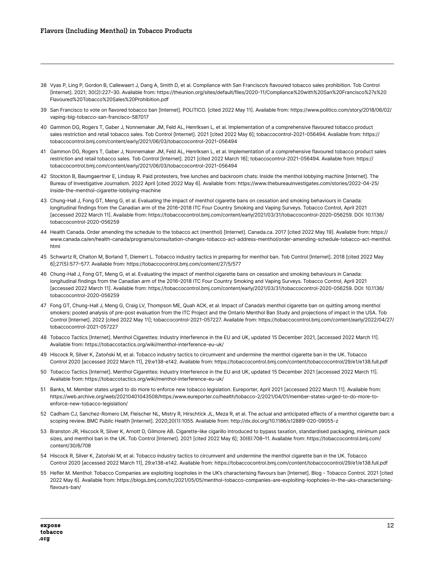- 38 Vyas P, Ling P, Gordon B, Callewaert J, Dang A, Smith D, et al. Compliance with San Francisco's flavoured tobacco sales prohibition. Tob Control [Internet]. 2021; 30(2):227–30. Available from: https://theunion.org/sites/default/files/2020-11/Compliance%20with%20San%20Francisco%27s%20 Flavoured%20Tobacco%20Sales%20Prohibition.pdf
- 39 San Francisco to vote on flavored tobacco ban [Internet]. POLITICO. [cited 2022 May 11]. Available from: https://www.politico.com/story/2018/06/02/ vaping-big-tobacco-san-francisco-587017
- 40 Gammon DG, Rogers T, Gaber J, Nonnemaker JM, Feld AL, Henriksen L, et al. Implementation of a comprehensive flavoured tobacco product sales restriction and retail tobacco sales. Tob Control [Internet]. 2021 [cited 2022 May 6]; tobaccocontrol-2021-056494. Available from: https:// tobaccocontrol.bmj.com/content/early/2021/06/03/tobaccocontrol-2021-056494
- 41 Gammon DG, Rogers T, Gaber J, Nonnemaker JM, Feld AL, Henriksen L, et al. Implementation of a comprehensive flavoured tobacco product sales restriction and retail tobacco sales. Tob Control [Internet]. 2021 [cited 2022 March 16]; tobaccocontrol-2021-056494. Available from: https:// tobaccocontrol.bmj.com/content/early/2021/06/03/tobaccocontrol-2021-056494
- 42 Stockton B, Baumgaertner E, Lindsay R. Paid protesters, free lunches and backroom chats: Inside the menthol lobbying machine [Internet]. The Bureau of Investigative Journalism. 2022 April [cited 2022 May 6]. Available from: https://www.thebureauinvestigates.com/stories/2022-04-25/ inside-the-menthol-cigarette-lobbying-machine
- 43 Chung-Hall J, Fong GT, Meng G, et al. Evaluating the impact of menthol cigarette bans on cessation and smoking behaviours in Canada: longitudinal findings from the Canadian arm of the 2016–2018 ITC Four Country Smoking and Vaping Surveys. Tobacco Control, April 2021 [accessed 2022 March 11]. Available from: https://tobaccocontrol.bmj.com/content/early/2021/03/31/tobaccocontrol-2020-056259. DOI: 10.1136/ tobaccocontrol-2020-056259
- 44 Health Canada. Order amending the schedule to the tobacco act (menthol) [Internet]. Canada.ca. 2017 [cited 2022 May 19]. Available from: https:// www.canada.ca/en/health-canada/programs/consultation-changes-tobacco-act-address-menthol/order-amending-schedule-tobacco-act-menthol. html
- 45 Schwartz R, Chaiton M, Borland T, Diemert L. Tobacco industry tactics in preparing for menthol ban. Tob Control [Internet]. 2018 [cited 2022 May 6];27(5):577–577. Available from: https://tobaccocontrol.bmj.com/content/27/5/577
- 46 Chung-Hall J, Fong GT, Meng G, et al. Evaluating the impact of menthol cigarette bans on cessation and smoking behaviours in Canada: longitudinal findings from the Canadian arm of the 2016–2018 ITC Four Country Smoking and Vaping Surveys. Tobacco Control, April 2021 [accessed 2022 March 11]. Available from: https://tobaccocontrol.bmj.com/content/early/2021/03/31/tobaccocontrol-2020-056259. DOI: 10.1136/ tobaccocontrol-2020-056259
- 47 Fong GT, Chung-Hall J, Meng G, Craig LV, Thompson ME, Quah ACK, et al. Impact of Canada's menthol cigarette ban on quitting among menthol smokers: pooled analysis of pre-post evaluation from the ITC Project and the Ontario Menthol Ban Study and projections of impact in the USA. Tob Control [Internet]. 2022 [cited 2022 May 11]; tobaccocontrol-2021-057227. Available from: https://tobaccocontrol.bmj.com/content/early/2022/04/27/ tobaccocontrol-2021-057227
- 48 Tobacco Tactics [Internet]. Menthol Cigarettes: Industry Interference in the EU and UK, updated 15 December 2021, [accessed 2022 March 11]. Available from: https://tobaccotactics.org/wiki/menthol-interference-eu-uk/
- 49 Hiscock R, Silver K, Zatoński M, et al. Tobacco industry tactics to circumvent and undermine the menthol cigarette ban in the UK. Tobacco Control 2020 [accessed 2022 March 11], 29:e138-e142. Available from: https://tobaccocontrol.bmj.com/content/tobaccocontrol/29/e1/e138.full.pdf
- 50 Tobacco Tactics [Internet]. Menthol Cigarettes: Industry Interference in the EU and UK, updated 15 December 2021 [accessed 2022 March 11]. Available from: https://tobaccotactics.org/wiki/menthol-interference-eu-uk/
- 51 Banks, M. Member states urged to do more to enforce new tobacco legislation. Eureporter, April 2021 [accessed 2022 March 11]. Available from: https://web.archive.org/web/20210401043508/https:/www.eureporter.co/health/tobacco-2/2021/04/01/member-states-urged-to-do-more-toenforce-new-tobacco-legislation/
- 52 Cadham CJ, Sanchez-Romero LM, Fleischer NL, Mistry R, Hirschtick JL, Meza R, et al. The actual and anticipated effects of a menthol cigarette ban: a scoping review. BMC Public Health [Internet]. 2020;20(1):1055. Available from: http://dx.doi.org/10.1186/s12889-020-09055-z
- 53 Branston JR, Hiscock R, Silver K, Arnott D, Gilmore AB. Cigarette-like cigarillo introduced to bypass taxation, standardised packaging, minimum pack sizes, and menthol ban in the UK. Tob Control [Internet]. 2021 [cited 2022 May 6]; 30(6):708-11. Available from: https://tobaccocontrol.bmj.com/ content/30/6/708
- 54 Hiscock R, Silver K, Zatoński M, et al. Tobacco industry tactics to circumvent and undermine the menthol cigarette ban in the UK. Tobacco Control 2020 [accessed 2022 March 11], 29:e138-e142. Available from: https://tobaccocontrol.bmj.com/content/tobaccocontrol/29/e1/e138.full.pdf
- 55 Hefler M. Menthol: Tobacco Companies are exploiting loopholes in the UK's characterising flavours ban [Internet]. Blog Tobacco Control. 2021 [cited 2022 May 6]. Available from: https://blogs.bmj.com/tc/2021/05/05/menthol-tobacco-companies-are-exploiting-loopholes-in-the-uks-characterisingflavours-ban/